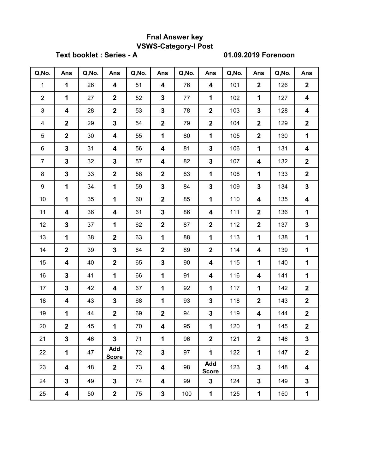## Fnal Answer key VSWS-Category-I Post

Text booklet : Series - A 01.09.2019 Forenoon

| Q, No.         | Ans                     | Q, No. | Ans                     | Q, No. | Ans                     | Q, No. | Ans                     | Q, No. | Ans            | Q, No. | Ans                     |
|----------------|-------------------------|--------|-------------------------|--------|-------------------------|--------|-------------------------|--------|----------------|--------|-------------------------|
| $\mathbf{1}$   | $\mathbf 1$             | 26     | 4                       | 51     | 4                       | 76     | 4                       | 101    | $\mathbf 2$    | 126    | $\mathbf{2}$            |
| $\overline{2}$ | $\mathbf 1$             | 27     | $\overline{2}$          | 52     | $\mathbf 3$             | 77     | $\mathbf{1}$            | 102    | $\mathbf{1}$   | 127    | 4                       |
| 3              | $\overline{\mathbf{4}}$ | 28     | $\mathbf 2$             | 53     | $\mathbf 3$             | 78     | $\overline{\mathbf{2}}$ | 103    | $\mathbf 3$    | 128    | 4                       |
| 4              | $\mathbf 2$             | 29     | $\overline{\mathbf{3}}$ | 54     | $\boldsymbol{2}$        | 79     | $\mathbf{2}$            | 104    | $\overline{2}$ | 129    | $\mathbf{2}$            |
| 5              | $\overline{2}$          | 30     | 4                       | 55     | 1                       | 80     | 1                       | 105    | $\mathbf{2}$   | 130    | $\mathbf 1$             |
| 6              | $\mathbf 3$             | 31     | 4                       | 56     | 4                       | 81     | $\mathbf 3$             | 106    | 1              | 131    | 4                       |
| $\overline{7}$ | $\mathbf 3$             | 32     | 3                       | 57     | 4                       | 82     | $\mathbf 3$             | 107    | 4              | 132    | $\mathbf{2}$            |
| 8              | $\mathbf 3$             | 33     | $\mathbf 2$             | 58     | $\overline{\mathbf{2}}$ | 83     | 1                       | 108    | $\mathbf{1}$   | 133    | $\mathbf{2}$            |
| 9              | $\mathbf 1$             | 34     | $\mathbf 1$             | 59     | $\mathbf 3$             | 84     | $\mathbf{3}$            | 109    | $\mathbf{3}$   | 134    | $\mathbf{3}$            |
| 10             | $\mathbf{1}$            | 35     | 1                       | 60     | $\mathbf 2$             | 85     | 1                       | 110    | 4              | 135    | 4                       |
| 11             | 4                       | 36     | 4                       | 61     | $\mathbf 3$             | 86     | $\overline{\mathbf{4}}$ | 111    | $\overline{2}$ | 136    | $\mathbf 1$             |
| 12             | $\mathbf 3$             | 37     | 1                       | 62     | $\boldsymbol{2}$        | 87     | $\overline{\mathbf{2}}$ | 112    | $\mathbf 2$    | 137    | $\mathbf{3}$            |
| 13             | $\mathbf{1}$            | 38     | $\overline{\mathbf{2}}$ | 63     | $\mathbf 1$             | 88     | $\mathbf{1}$            | 113    | $\mathbf{1}$   | 138    | $\mathbf 1$             |
| 14             | $\boldsymbol{2}$        | 39     | $\mathbf{3}$            | 64     | $\mathbf 2$             | 89     | $\overline{\mathbf{2}}$ | 114    | 4              | 139    | $\mathbf 1$             |
| 15             | $\overline{\mathbf{4}}$ | 40     | $\mathbf 2$             | 65     | $\mathbf 3$             | 90     | $\overline{\mathbf{4}}$ | 115    | $\mathbf{1}$   | 140    | $\mathbf 1$             |
| 16             | $\mathbf 3$             | 41     | 1                       | 66     | 1                       | 91     | $\overline{\mathbf{4}}$ | 116    | 4              | 141    | $\mathbf 1$             |
| 17             | $\mathbf 3$             | 42     | 4                       | 67     | 1                       | 92     | 1                       | 117    | $\mathbf 1$    | 142    | $\mathbf 2$             |
| 18             | $\overline{\mathbf{4}}$ | 43     | 3                       | 68     | 1                       | 93     | $\mathbf 3$             | 118    | $\mathbf 2$    | 143    | $\mathbf{2}$            |
| 19             | $\mathbf 1$             | 44     | $\mathbf 2$             | 69     | $\overline{\mathbf{2}}$ | 94     | $\mathbf 3$             | 119    | 4              | 144    | $\mathbf{2}$            |
| 20             | $\mathbf 2$             | 45     | 1                       | 70     | 4                       | 95     | 1                       | 120    | $\mathbf{1}$   | 145    | $\mathbf 2$             |
| 21             | $\mathbf 3$             | 46     | 3                       | 71     | 1                       | 96     | $\mathbf 2$             | 121    | $\mathbf{2}$   | 146    | 3                       |
| 22             | 1                       | 47     | Add<br><b>Score</b>     | 72     | $\mathbf 3$             | 97     | 1                       | 122    | $\mathbf 1$    | 147    | $\mathbf 2$             |
| 23             | $\overline{\mathbf{4}}$ | 48     | $\mathbf 2$             | 73     | 4                       | 98     | Add<br><b>Score</b>     | 123    | $\mathbf{3}$   | 148    | $\overline{\mathbf{4}}$ |
| 24             | $\mathbf 3$             | 49     | 3                       | 74     | 4                       | 99     | $\mathbf{3}$            | 124    | $\mathbf{3}$   | 149    | $\mathbf{3}$            |
| 25             | 4                       | 50     | $\overline{\mathbf{2}}$ | 75     | $\mathbf 3$             | 100    | 1                       | 125    | 1              | 150    | 1                       |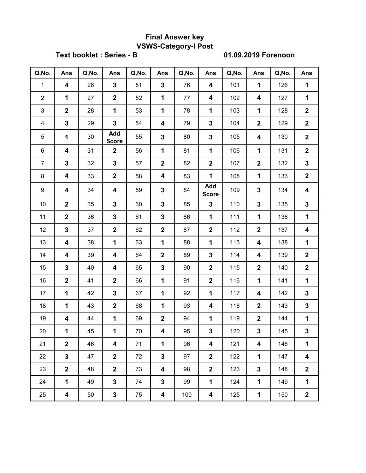# Final Answer key VSWS-Category-I Post

Text booklet : Series - B 01.09.2019 Forenoon

| Q, No.         | Ans                     | Q, No. | Ans                     | Q, No. | Ans                     | Q, No. | Ans                     | Q, No. | Ans                     | Q, No. | Ans              |
|----------------|-------------------------|--------|-------------------------|--------|-------------------------|--------|-------------------------|--------|-------------------------|--------|------------------|
| $\mathbf{1}$   | $\overline{\mathbf{4}}$ | 26     | 3                       | 51     | $\mathbf 3$             | 76     | 4                       | 101    | 1                       | 126    | $\mathbf{1}$     |
| $\overline{2}$ | $\mathbf 1$             | 27     | $\overline{2}$          | 52     | 1                       | 77     | $\overline{\mathbf{4}}$ | 102    | $\overline{\mathbf{4}}$ | 127    | $\mathbf 1$      |
| 3              | $\overline{\mathbf{2}}$ | 28     | $\mathbf 1$             | 53     | 1                       | 78     | 1                       | 103    | $\mathbf 1$             | 128    | $\mathbf 2$      |
| $\overline{4}$ | $\mathbf 3$             | 29     | $\overline{\mathbf{3}}$ | 54     | 4                       | 79     | $\overline{\mathbf{3}}$ | 104    | $\overline{2}$          | 129    | $\mathbf{2}$     |
| 5              | 1                       | 30     | Add<br><b>Score</b>     | 55     | $\mathbf 3$             | 80     | $\mathbf 3$             | 105    | 4                       | 130    | $\mathbf 2$      |
| 6              | $\overline{\mathbf{4}}$ | 31     | $\mathbf{2}$            | 56     | 1                       | 81     | 1                       | 106    | 1                       | 131    | $\mathbf 2$      |
| $\overline{7}$ | $\mathbf 3$             | 32     | $\mathbf{3}$            | 57     | $\mathbf 2$             | 82     | $\mathbf{2}$            | 107    | $\mathbf{2}$            | 132    | $\mathbf{3}$     |
| 8              | 4                       | 33     | $\overline{2}$          | 58     | 4                       | 83     | 1                       | 108    | 1                       | 133    | $\mathbf 2$      |
| 9              | $\overline{\mathbf{4}}$ | 34     | 4                       | 59     | $\mathbf 3$             | 84     | Add<br><b>Score</b>     | 109    | $\mathbf 3$             | 134    | 4                |
| 10             | $\overline{\mathbf{2}}$ | 35     | 3                       | 60     | 3                       | 85     | $\mathbf 3$             | 110    | 3                       | 135    | $\mathbf{3}$     |
| 11             | $\overline{\mathbf{2}}$ | 36     | 3                       | 61     | $\mathbf 3$             | 86     | $\mathbf{1}$            | 111    | $\mathbf 1$             | 136    | $\mathbf 1$      |
| 12             | $\mathbf 3$             | 37     | $\overline{\mathbf{2}}$ | 62     | $\overline{\mathbf{2}}$ | 87     | $\mathbf{2}$            | 112    | $\overline{\mathbf{2}}$ | 137    | 4                |
| 13             | $\overline{\mathbf{4}}$ | 38     | 1                       | 63     | 1                       | 88     | 1                       | 113    | $\boldsymbol{4}$        | 138    | $\mathbf 1$      |
| 14             | $\boldsymbol{4}$        | 39     | 4                       | 64     | $\boldsymbol{2}$        | 89     | $\mathbf 3$             | 114    | 4                       | 139    | $\mathbf{2}$     |
| 15             | $\mathbf{3}$            | 40     | 4                       | 65     | $\mathbf 3$             | 90     | $\mathbf{2}$            | 115    | $\mathbf{2}$            | 140    | $\mathbf 2$      |
| 16             | $\overline{\mathbf{2}}$ | 41     | $\overline{\mathbf{2}}$ | 66     | 1                       | 91     | $\mathbf{2}$            | 116    | $\mathbf 1$             | 141    | $\mathbf 1$      |
| 17             | $\mathbf{1}$            | 42     | 3                       | 67     | 1                       | 92     | 1                       | 117    | 4                       | 142    | $\mathbf{3}$     |
| 18             | $\mathbf 1$             | 43     | $\overline{\mathbf{2}}$ | 68     | $\mathbf 1$             | 93     | 4                       | 118    | $\overline{2}$          | 143    | $\mathbf{3}$     |
| 19             | 4                       | 44     | 1                       | 69     | $\overline{\mathbf{2}}$ | 94     | 1                       | 119    | $\overline{2}$          | 144    | $\mathbf 1$      |
| 20             | 1                       | 45     | 1                       | 70     | $\overline{\mathbf{4}}$ | 95     | 3                       | 120    | 3                       | 145    | $\mathbf{3}$     |
| 21             | $\mathbf{2}$            | 46     | 4                       | 71     | 1                       | 96     | 4                       | 121    | 4                       | 146    | 1                |
| 22             | $\mathbf{3}$            | 47     | $\overline{2}$          | 72     | $\mathbf 3$             | 97     | $\mathbf{2}$            | 122    | $\mathbf{1}$            | 147    | $\boldsymbol{4}$ |
| 23             | $\mathbf{2}$            | 48     | $\overline{2}$          | 73     | 4                       | 98     | $\mathbf{2}$            | 123    | $\mathbf 3$             | 148    | $\mathbf{2}$     |
| 24             | $\mathbf 1$             | 49     | 3                       | 74     | $\mathbf 3$             | 99     | $\mathbf{1}$            | 124    | $\mathbf 1$             | 149    | $\mathbf 1$      |
| 25             | $\overline{\mathbf{4}}$ | 50     | 3                       | 75     | 4                       | 100    | 4                       | 125    | 1                       | 150    | $\boldsymbol{2}$ |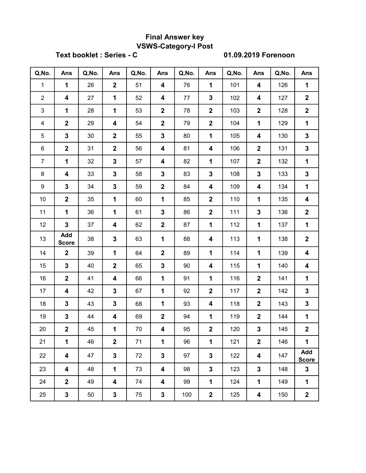# Final Answer key VSWS-Category-I Post

Text booklet : Series - C 01.09.2019 Forenoon

| Q, No.         | Ans                     | Q, No. | Ans              | Q, No. | Ans                     | Q, No. | Ans                     | Q, No. | <b>Ans</b>              | Q, No. | Ans                     |
|----------------|-------------------------|--------|------------------|--------|-------------------------|--------|-------------------------|--------|-------------------------|--------|-------------------------|
| $\mathbf{1}$   | $\mathbf{1}$            | 26     | $\mathbf 2$      | 51     | 4                       | 76     | $\mathbf 1$             | 101    | $\overline{\mathbf{4}}$ | 126    | $\mathbf{1}$            |
| $\overline{2}$ | 4                       | 27     | $\mathbf{1}$     | 52     | 4                       | 77     | $\mathbf 3$             | 102    | $\overline{\mathbf{4}}$ | 127    | $\overline{\mathbf{2}}$ |
| 3              | $\mathbf 1$             | 28     | $\mathbf 1$      | 53     | $\boldsymbol{2}$        | 78     | $\overline{\mathbf{2}}$ | 103    | $\mathbf{2}$            | 128    | $\overline{\mathbf{2}}$ |
| $\overline{4}$ | $\overline{\mathbf{2}}$ | 29     | 4                | 54     | $\overline{2}$          | 79     | $\overline{2}$          | 104    | $\mathbf{1}$            | 129    | $\mathbf 1$             |
| 5              | $\mathbf 3$             | 30     | $\mathbf 2$      | 55     | $\mathbf 3$             | 80     | $\mathbf 1$             | 105    | $\overline{\mathbf{4}}$ | 130    | $\mathbf{3}$            |
| 6              | $\boldsymbol{2}$        | 31     | $\mathbf 2$      | 56     | $\overline{\mathbf{4}}$ | 81     | $\overline{\mathbf{4}}$ | 106    | $\overline{2}$          | 131    | $\mathbf{3}$            |
| $\overline{7}$ | $\mathbf 1$             | 32     | 3                | 57     | 4                       | 82     | $\mathbf 1$             | 107    | $\overline{2}$          | 132    | $\mathbf 1$             |
| 8              | $\overline{\mathbf{4}}$ | 33     | $\mathbf 3$      | 58     | $\mathbf 3$             | 83     | $\mathbf{3}$            | 108    | $\overline{\mathbf{3}}$ | 133    | $\mathbf{3}$            |
| 9              | $\mathbf 3$             | 34     | 3                | 59     | $\overline{2}$          | 84     | $\overline{\mathbf{4}}$ | 109    | 4                       | 134    | $\mathbf 1$             |
| 10             | $\overline{\mathbf{2}}$ | 35     | 1                | 60     | 1                       | 85     | $\boldsymbol{2}$        | 110    | 1                       | 135    | 4                       |
| 11             | $\mathbf 1$             | 36     | 1                | 61     | $\mathbf 3$             | 86     | $\boldsymbol{2}$        | 111    | $\mathbf 3$             | 136    | $\mathbf{2}$            |
| 12             | $\mathbf 3$             | 37     | 4                | 62     | $\overline{2}$          | 87     | 1                       | 112    | $\mathbf{1}$            | 137    | $\mathbf 1$             |
| 13             | Add<br><b>Score</b>     | 38     | $\mathbf 3$      | 63     | 1                       | 88     | 4                       | 113    | 1                       | 138    | $\mathbf 2$             |
| 14             | $\overline{\mathbf{2}}$ | 39     | 1                | 64     | $\boldsymbol{2}$        | 89     | $\mathbf 1$             | 114    | 1                       | 139    | $\overline{\mathbf{4}}$ |
| 15             | $\mathbf{3}$            | 40     | $\boldsymbol{2}$ | 65     | $\mathbf 3$             | 90     | 4                       | 115    | 1                       | 140    | 4                       |
| 16             | $\overline{\mathbf{2}}$ | 41     | 4                | 66     | 1                       | 91     | $\mathbf 1$             | 116    | $\overline{2}$          | 141    | $\mathbf 1$             |
| 17             | 4                       | 42     | 3                | 67     | 1                       | 92     | $\overline{2}$          | 117    | $\mathbf{2}$            | 142    | $\mathbf{3}$            |
| 18             | $\mathbf 3$             | 43     | 3                | 68     | 1                       | 93     | 4                       | 118    | $\mathbf{2}$            | 143    | $\mathbf{3}$            |
| 19             | $\mathbf 3$             | 44     | 4                | 69     | $\overline{2}$          | 94     | $\mathbf{1}$            | 119    | $\overline{2}$          | 144    | $\mathbf 1$             |
| 20             | $\overline{2}$          | 45     | 1                | 70     | $\overline{\mathbf{4}}$ | 95     | $\overline{2}$          | 120    | 3                       | 145    | $\mathbf{2}$            |
| 21             | $\mathbf 1$             | 46     | $\overline{2}$   | 71     | $\mathbf 1$             | 96     | $\mathbf{1}$            | 121    | $\mathbf{2}$            | 146    | $\mathbf 1$             |
| 22             | 4                       | 47     | $\mathbf 3$      | 72     | $\mathbf 3$             | 97     | $\mathbf{3}$            | 122    | $\boldsymbol{4}$        | 147    | Add<br><b>Score</b>     |
| 23             | $\overline{\mathbf{4}}$ | 48     | $\mathbf 1$      | 73     | 4                       | 98     | $\mathbf{3}$            | 123    | $\mathbf{3}$            | 148    | $\mathbf 3$             |
| 24             | $\mathbf{2}$            | 49     | 4                | 74     | 4                       | 99     | $\mathbf 1$             | 124    | $\mathbf{1}$            | 149    | $\mathbf 1$             |
| 25             | $\mathbf{3}$            | 50     | 3                | 75     | 3                       | 100    | $\boldsymbol{2}$        | 125    | 4                       | 150    | $\mathbf{2}$            |